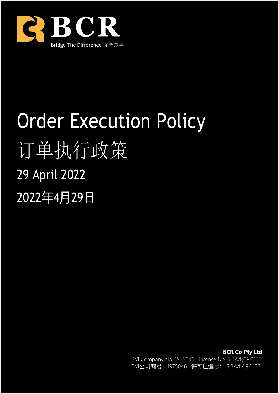

# Order Execution Policy 订单执行政策 29 April 2022 2022年4月29日

**BCR Co Pty Ltd** BVI Company No. 1975046 | License No. SIBA/L/19/1122 BVI公司编号: 1975046 | 许可证编号: SIBA/L/19/1122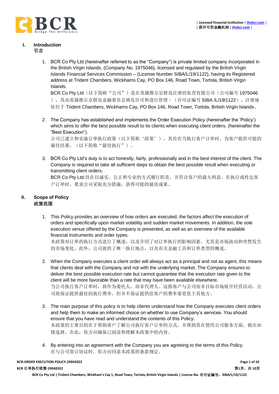

#### **I. Introduction** 引言

1. BCR Co Pty Ltd (hereinafter referred to as the "Company") is private limited company incorporated in the British Virgin Islands, (Company No. 1975046), licensed and regulated by the British Virgin Islands Financial Services Commission – (License Number SIBA/L/19/1122), having its Registered address at Trident Chambers, Wickhams Cay, PO Box 146, Road Town, Tortola, British Virgin Islands.

BCR Co Pty Ltd (以下简称"公司")是在英属维尔京群岛注册的私营有限公司(公司编号 1975046 ), 其由英属维尔京群岛金融委员会颁发许可和进行管理-(许可证编号 SIBA /L/19/1122), 注册地 址位于 Trident Chambers, Wickhams Cay, PO Box 146, Road Town, Tortola, British Virgin Islands。

2. The Company has established and implements the Order Execution Policy (hereinafter the 'Policy') which aims to offer the best possible result to its clients when executing client orders. (hereinafter the "Best Execution").

公司已建立和实施订单执行政策(以下简称'政策'),其旨在当执行客户订单时,为客户提供可能的 最佳结果。(以下简称"最佳执行")。

3. BCR Co Pty Ltd's duty is to act honestly, fairly, professionally and in the best interest of the client. The Company is required to take all sufficient steps to obtain the best possible result when executing or transmitting client orders.

BCR Co Pty Ltd.旨在以诚实、公正和专业的方式履行职责,并符合客户的最大利益。在执行或传达客 户订单时,要求公司采取充分措施,获得可能的最佳成果。

# **II. Scope of Policy** 政策范围

1. This Policy provides an overview of how orders are executed, the factors affect the execution of orders and specifically upon market volatility and sudden market movements. In addition, the sole execution venue offered by the Company is presented, as well as an overview of the available financial instruments and order types.

本政策对订单的执行方式进行了概述,以及介绍了对订单执行的影响因素,尤其是市场波动和突然发生 的市场变化。此外,公司提供了唯一执行地点,以及有关金融工具和订单类型的概述。

- 2. When the Company executes a client order will always act as a principal and not as agent, this means that clients deal with the Company and not with the underlying market. The Company ensures to deliver the best possible execution rate but cannot guarantee that the execution rate given to the client will be more favorable than a rate that may have been available elsewhere. 当公司执行客户订单时,将作为委托人,而非代理人。这指客户与公司而非目标市场展开经营活动。公 司将保证提供最佳的执行费率,但并不保证提供给客户的费率要更优于其他方。
- 3. The main purpose of this policy is to help clients understand how the Company executes client orders and help them to make an informed choice on whether to use Company's services. You should ensure that you have read and understand the contents of this Policy. 本政策的主要目的在于帮助客户了解公司执行客户订单的方式,并帮助其在使用公司服务方面,做出知 情选择。在此,你方应确保已阅读和理解本政策中的内容。
- 4. By entering into an agreement with the Company you are agreeing to the terms of this Policy. 在与公司签订协议时,你方应同意本政策的条款规定。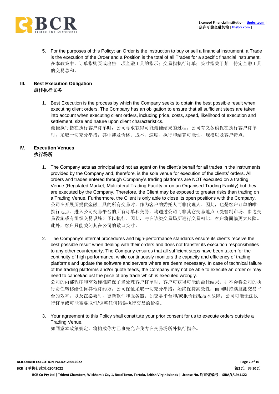

5. For the purposes of this Policy; an Order is the instruction to buy or sell a financial instrument, a Trade is the execution of the Order and a Position is the total of all Trades for a specific financial instrument. 在本政策中,订单指购买或出售一项金融工具的指示;交易指执行订单;头寸指关于某一特定金融工具 的交易总和。

# **III. Best Execution Obligation** 最佳执行义务

1. Best Execution is the process by which the Company seeks to obtain the best possible result when executing client orders. The Company has an obligation to ensure that all sufficient steps are taken into account when executing client orders, including price, costs, speed, likelihood of execution and settlement, size and nature upon client characteristics. 最佳执行指在执行客户订单时,公司寻求获得可能最佳结果的过程。公司有义务确保在执行客户订单 时,采取一切充分举措,其中涉及价格、成本、速度、执行和结算可能性、规模以及客户特点。

# **IV. Execution Venues** 执行场所

- 1. The Company acts as principal and not as agent on the client's behalf for all trades in the instruments provided by the Company and, therefore, is the sole venue for execution of the clients' orders. All orders and trades entered through Company's trading platforms are NOT executed on a trading Venue (Regulated Market, Multilateral Trading Facility or on an Organised Trading Facility) but they are executed by the Company. Therefore, the Client may be exposed to greater risks than trading on a Trading Venue. Furthermore, the Client is only able to close its open positions with the Company. 公司在开展所提供金融工具的所有交易时,作为客户的委托人而非代理人。因此,也是客户订单的唯一 执行地点。进入公司交易平台的所有订单和交易,均通过公司而非其它交易地点(受管制市场、多边交 易设施或有组织交易设施)予以执行。因此,与在该类交易场所进行交易相比,客户将面临更大风险。 此外,客户只能关闭其在公司的敞口头寸。
- 2. The Company's internal procedures and high-performance standards ensure its clients receive the best possible result when dealing with their orders and does not transfer its execution responsibilities to any other counterparty. The Company ensures that all sufficient steps have been taken for the continuity of high performance, while continuously monitors the capacity and efficiency of trading platforms and update the software and servers where are deem necessary. In case of technical failure of the trading platforms and/or quote feeds, the Company may not be able to execute an order or may need to cancel/adjust the price of any trade which is executed wrongly. 公司的内部程序和高效标准确保了当处理客户订单时,客户可获得可能的最佳结果,并不会将公司的执 行责任转移给任何其他订约方。公司保证采取一切充分举措,始终保持高效性,而同时持续监测交易平 台的效率,以及在必要时,更新软件和服务器。如交易平台和/或报价出现技术故障,公司可能无法执 行订单或可能需要取消/调整任何错误执行交易的价格。
- 3. Your agreement to this Policy shall constitute your prior consent for us to execute orders outside a Trading Venue.

如同意本政策规定,将构成你方已事先允许我方在交易场所外执行指令。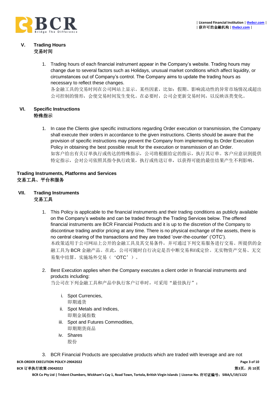

#### **V. Trading Hours** 交易时间

1. Trading hours of each financial instrument appear in the Company's website. Trading hours may change due to several factors such as Holidays, unusual market conditions which affect liquidity, or circumstances out of Company's control. The Company aims to update the trading hours as necessary to reflect these changes.

各金融工具的交易时间在公司网站上显示。某些因素,比如:假期、影响流动性的异常市场情况或超出 公司控制的情形,会使交易时间发生变化。在必要时,公司会更新交易时间,以反映该类变化。

#### **VI. Specific Instructions** 特殊指示

1. In case the Clients give specific instructions regarding Order execution or transmission, the Company shall execute their orders in accordance to the given instructions. Clients should be aware that the provision of specific instructions may prevent the Company from implementing its Order Execution Policy in obtaining the best possible result for the execution or transmission of an Order. 如客户给出有关订单执行或传达的特殊指示,公司将根据给定的指示,执行其订单。客户应意识到提供 特定指示,会对公司依照其指令执行政策,执行或传送订单,以获得可能的最佳结果产生不利影响。

#### **Trading Instruments, Platforms and Services** 交易工具、平台和服务

- **VII. Trading Instruments** 交易工具
	- 1. This Policy is applicable to the financial instruments and their trading conditions as publicly available on the Company's website and can be traded through the Trading Services below. The offered financial instruments are BCR Financial Products and it is up to the discretion of the Company to discontinue trading and/or pricing at any time. There is no physical exchange of the assets, there is no central clearing of the transactions and they are traded 'over-the-counter' ('OTC'). 本政策适用于公司网站上公开的金融工具及其交易条件,并可通过下列交易服务进行交易。所提供的金 融工具为 BCR 金融产品。在此, 公司可随时自行决定是否中断交易和/或定价。无实物资产交易、无交 易集中结算。实施场外交易('OTC')。
	- 2. Best Execution applies when the Company executes a client order in financial instruments and products including:

当公司在下列金融工具和产品中执行客户订单时,可采用"最佳执行":

- i. Spot Currencies, 即期通货
- ii. Spot Metals and Indices, 即期金属指数
- iii. Spot and Futures Commodities, 即期期货商品
- iv. Shares 股份

3. BCR Financial Products are speculative products which are traded with leverage and are not

# **BCR-ORDER EXECUTION POLICY-29042022 Page 3 of 10**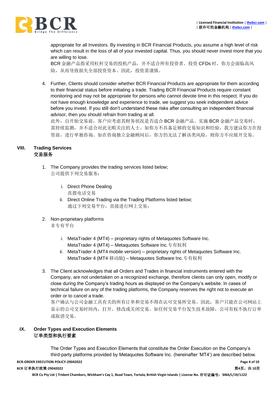

appropriate for all Investors. By investing in BCR Financial Products, you assume a high level of risk which can result in the loss of all of your invested capital. Thus, you should never invest more that you are willing to lose.

BCR 金融产品指采用杠杆交易的投机产品,并不适合所有投资者。投资 CFDs 时, 你方会面临高风 险,从而导致损失全部投资资本。因此,投资需谨慎。

4. Further, Clients should consider whether BCR Financial Products are appropriate for them according to their financial status before initiating a trade. Trading BCR Financial Products require constant monitoring and may not be appropriate for persons who cannot devote time in this respect. If you do not have enough knowledge and experience to trade, we suggest you seek independent advice before you invest. If you still don't understand these risks after consulting an independent financial advisor, then you should refrain from trading at all.

此外,自开始交易前,客户应考虑其财务状况是否适合 BCR 金融产品。实施 BCR 金融产品交易时, 需持续监测,并不适合对此无暇关注的人士。如你方不具备足够的交易知识和经验,我方建议你方在投 资前,进行单独咨询。如在咨询独立金融顾问后,你方仍无法了解该类风险,则你方不应展开交易。

# **VIII. Trading Services** 交易服务

- 1. The Company provides the trading services listed below; 公司提供下列交易服务:
	- i. Direct Phone Dealing 直拨电话交易
	- ii. Direct Online Trading via the Trading Platforms listed below; 通过下列交易平台,直接进行网上交易;
- 2. Non-proprietary platforms

非专有平台

- i. MetaTrader 4 (MT4) proprietary rights of Metaquotes Software Inc. MetaTrader 4 (MT4) – Metaquotes Software Inc.专有权利
- ii. MetaTrader 4 (MT4 mobile version) proprietary rights of Metaquotes Software Inc. MetaTrader 4 (MT4 移动版) – Metaquotes Software Inc.专有权利
- 3. The Client acknowledges that all Orders and Trades in financial instruments entered with the Company, are not undertaken on a recognized exchange, therefore clients can only open, modify or close during the Company's trading hours as displayed on the Company's website. In cases of technical failure on any of the trading platforms, the Company reserves the right not to execute an order or to cancel a trade.

客户确认与公司金融工具有关的所有订单和交易不得在认可交易所交易。因此,客户只能在公司网站上 显示的公司交易时间内,打开、修改或关闭交易。如任何交易平台发生技术故障,公司有权不执行订单 或取消交易。

## **IX. Order Types and Execution Elements** 订单类型和执行要素

The Order Types and Execution Elements that constitute the Order Execution on the Company's third-party platforms provided by Metaquotes Software Inc. (hereinafter 'MT4') are described below.

**BCR-ORDER EXECUTION POLICY-29042022 Page 4 of 10**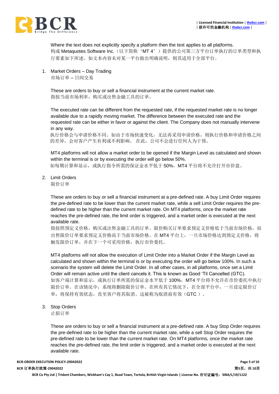

Where the text does not explicitly specify a platform then the text applies to all platforms. 构成 Metaquotes Software Inc. (以下简称'MT 4')提供的公司第三方平台订单执行的订单类型和执 行要素如下所述。如文本内容未对某一平台做出明确说明,则其适用于全部平台。

1. Market Orders – Day Trading 市场订单 – 日间交易

> These are orders to buy or sell a financial instrument at the current market rate. 指按当前市场利率,购买或出售金融工具的订单。

The executed rate can be different from the requested rate, if the requested market rate is no longer available due to a rapidly moving market. The difference between the executed rate and the requested rate can be either in favor or against the client. The Company does not manually intervene in any way.

执行价格会与申请价格不同。如由于市场快速变化,无法再采用申请价格,则执行价格和申请价格之间 的差异,会对客户产生有利或不利影响。 在此,公司不会进行任何人为干预。

MT4 platforms will not allow a market order to be opened if the Margin Level as calculated and shown within the terminal is or by executing the order will go below 50%.

如每期计算和显示,或执行指令所需的保证金水平低于 50%, MT4 平台将不允许打开市价盘。

2. Limit Orders

限价订单

These are orders to buy or sell a financial instrument at a pre-defined rate. A buy Limit Order requires the pre-defined rate to be lower than the current market rate, while a sell Limit Order requires the predefined rate to be higher than the current market rate. On MT4 platforms, once the market rate reaches the pre-defined rate, the limit order is triggered, and a market order is executed at the next available rate.

指按照预定义价格,购买或出售金融工具的订单。限价购买订单要求预定义价格低于当前市场价格,而 出售限价订单要求预定义价格高于当前市场价格。在 MT4 平台上,一旦市场价格达到预定义价格, 将 触发限价订单,并在下一个可采用价格,执行市价委托。

MT4 platforms will not allow the execution of Limit Order into a Market Order if the Margin Level as calculated and shown within the terminal is or by executing the order will go below 100%. In such a scenario the system will delete the Limit Order. In all other cases, in all platforms, once set a Limit Order will remain active until the client cancels it. This is known as Good 'Til Cancelled (GTC). 如客户端计算和显示,或执行订单所需的保证金水平低于 100%,MT4 平台将不允许在市价委托中执行 限价订单。在该情况中,系统将删除限价订单。在所有其它情况下,在全部平台中,一旦设定限价订 单, 将保持有效状态, 直至客户将其取消。这被称为取消前有效(GTC)。

3. Stop Orders

止损订单

These are orders to buy or sell a financial instrument at a pre-defined rate. A buy Stop Order requires the pre-defined rate to be higher than the current market rate, while a sell Stop Order requires the pre-defined rate to be lower than the current market rate. On MT4 platforms, once the market rate reaches the pre-defined rate, the limit order is triggered, and a market order is executed at the next available rate.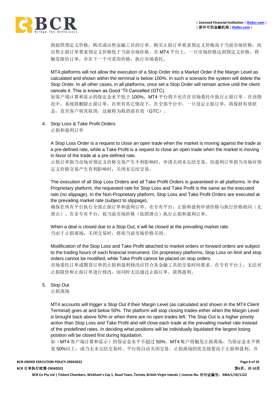

指按照预定义价格,购买或出售金融工具的订单。购买止损订单要求预定义价格高于当前市场价格,而 出售止损订单要求预定义价格低于当前市场价格。在 MT4 平台上,一旦市场价格达到预定义价格,将 触发限价订单,并在下一个可采用价格,执行市场委托。

MT4 platforms will not allow the execution of a Stop Order into a Market Order if the Margin Level as calculated and shown within the terminal is below 100%. In such a scenario the system will delete the Stop Order. In all other cases, in all platforms, once set a Stop Order will remain active until the client cancels it. This is known as Good 'Til Cancelled (GTC).

如客户端计算和显示的保证金水平低于 100%,MT4 平台将不允许在市场委托中执行止损订单。在该情 况中,系统将删除止损订单。在所有其它情况下,在全部平台中,一旦设定止损订单,将保持有效状 态,直至客户将其取消。这被称为取消前有效(GTC)。

4. Stop Loss & Take Profit Orders

止损和盈利订单

A Stop Loss Order is a request to close an open trade when the market is moving against the trade at a pre-defined rate, while a Take Profit is a request to close an open trade when the market is moving in favor of the trade at a pre-defined rate.

止损订单指当市场对预定义价格交易产生不利影响时,申请关闭未完结交易,而盈利订单指当市场对预 定义价格交易产生有利影响时,关闭未完结交易。

The execution of all Stop Loss Orders and all Take Profit Orders is guaranteed in all platforms. In the Proprietary platform, the requested rate for Stop Loss and Take Profit is the same as the executed rate (no slippage). In the Non-Proprietary platform, Stop Loss and Take Profit Orders are executed at the prevailing market rate (subject to slippage).

确保在所有平台执行全部止损订单和盈利订单。在专有平台,止损和盈利申请价格与执行价格相同(无 滑点)。在非专有平台,按当前市场价格(依照滑点)执行止损和盈利订单。

When a deal is closed due to a Stop Out, it will be closed at the prevailing market rate. 当由于止损离场,关闭交易时,将按当前市场价格关闭。

Modification of the Stop Loss and Take Profit attached to market orders or forward orders are subject to the trading hours of each financial instrument. On proprietary platforms, Stop Loss on limit and stop orders cannot be modified, while Take Profit cannot be placed on stop orders.

市场委托订单或期货订单的止损和盈利修改应符合各金融工具的交易时间要求。在专有平台上,无法对 止损限价和止损订单进行修改,而同时无法通过止损订单,获得盈利。

5. Stop Out

止损离场

MT4 accounts will trigger a Stop Out if their Margin Level (as calculated and shown in the MT4 Client Terminal) goes at and below 50%. The platform will stop closing trades either when the Margin Level is brought back above 50% or when there are no open trades left. The Stop Out is a higher priority action than Stop Loss and Take Profit and will close each trade at the prevailing market rate instead of the predefined rates. In deciding what positions will be individually liquidated the largest losing position will be closed first during liquidation.

如(MT4 客户端计算和显示)的保证金水平不超过 50%, MT4 账户将触发止损离场。当保证金水平恢 复50%以上,或当无未完结交易时,平台将自动关闭交易。止损离场的优先级要高于止损和盈利,并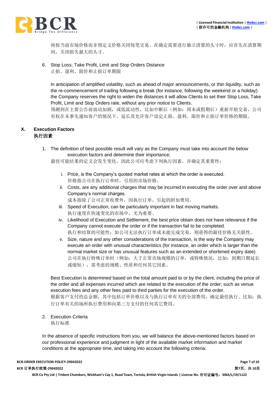

将按当前市场价格而非预定义价格关闭每笔交易。在确定需要进行独立清算的头寸时,应首先在清算期 间,关闭损失最大的头寸。

#### 6. Stop Loss, Take Profit, Limit and Stop Orders Distance 止损、盈利、限价和止损订单期限

In anticipation of amplified volatility, such as ahead of major announcements, or thin liquidity, such as the re-commencement of trading following a break (for instance, following the weekend or a holiday) the Company reserves the right to widen the distances it will allow Clients to set their Stop Loss, Take Profit, Limit and Stop Orders rate, without any prior notice to Clients.

预测到在主要公告前波动加剧,或低流动性,比如中断后(例如:周末或假期后)重新开始交易,公司 有权在未事先通知客户的情况下,延长其允许客户设定止损、盈利、限价和止损订单价格的期限。

#### **X. Execution Factors** 执行因素

1. The definition of best possible result will vary as the Company must take into account the below execution factors and determine their importance;

最佳可能结果的定义会发生变化,因此公司应考虑下列执行因素,并确定其重要性:

- i. Price, is the Company's quoted market rates at which the order is executed. 价格指公司在执行订单时,引用的市场价格。
- ii. Costs, are any additional charges that may be incurred in executing the order over and above Company's normal charges. 成本指除了公司正常收费外,因执行订单,引起的附加费用。
- iii. Speed of Execution, can be particularly important in fast moving markets. 执行速度在快速变化的市场中,尤为重要。
- iv. Likelihood of Execution and Settlement, the best price obtain does not have relevance if the Company cannot execute the order or if the transaction fail to be completed. 执行和结算的可能性;如公司无法执行订单或未能完成交易,则获得的最佳价格无关联性。
- v. Size, nature and any other considerations of the transaction, is the way the Company may execute an order with unusual characteristics (for instance, an order which is larger than the normal market size or has unusual features such as an extended or shortened expiry date). 公司在执行特殊订单时(例如:大于正常市场规模的订单,或特殊情况,比如:到期日期延长 或缩短),需考虑的规模、性质和任何其它因素。

Best Execution is determined based on the total amount paid to or by the client, including the price of the order and all expenses incurred which are related to the execution of the order; such as venue execution fees and any other fees paid to third parties for the execution of the order. 根据客户支付的总金额,其中包括订单价格以及与执行订单有关的全部费用,确定最佳执行。比如:执 行订单有关的场所执行费用和向第三方支付的任何其它费用。

2. Execution Criteria 执行标准

In the absence of specific instructions from you, we will balance the above-mentioned factors based on our professional experience and judgment in light of the available market information and market conditions at the appropriate time, and taking into account the following criteria: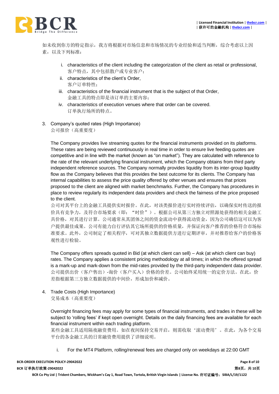

如未收到你方的特定指示,我方将根据对市场信息和市场情况的专业经验和适当判断,综合考虑以上因 素,以及下列标准:

- i. characteristics of the client including the categorization of the client as retail or professional, 客户特点,其中包括散户或专业客户;
- ii. characteristics of the client's Order, 客户订单特性;
- iii. characteristics of the financial instrument that is the subject of that Order, 金融工具的特点即是该订单的主要内容;
- iv. characteristics of execution venues where that order can be covered. 订单执行场所的特点。
- 3. Company's quoted rates (High Importance)

公司报价(高重要度)

The Company provides live streaming quotes for the financial instruments provided on its platforms. These rates are being reviewed continuously in real time in order to ensure live feeding quotes are competitive and in line with the market (known as "on market"). They are calculated with reference to the rate of the relevant underlying financial instrument, which the Company obtains from third party independent reference sources. The Company normally provides liquidity from its inter-group liquidity flow as the Company believes that this provides the best outcome for its clients. The Company has internal capabilities to assess the price quality offered by other venues and ensures that prices proposed to the client are aligned with market benchmarks. Further, the Company has procedures in place to review regularly its independent data providers and check the fairness of the price proposed to the client.

公司对其平台上的金融工具提供实时报价。在此,对该类报价进行实时持续评估,以确保实时传送的报 价具有竞争力,及符合市场要求(即:"时价")。根据公司从第三方独立对照源处获得的相关金融工 具价格,对其进行计算。公司通常从其团体之间的资金流动中获得流动资金,因为公司确信这可以为客 户提供最佳成果。公司有能力自行评估其它场所提供的价格质量,并保证向客户推荐的价格符合市场标 准要求。此外,公司制定了相关程序,可对其独立数据提供方进行定期评审,并对推荐给客户的价格客 观性进行检验。

The Company offers spreads quoted in Bid (at which client can sell) – Ask (at which client can buy) rates. The Company applies a consistent pricing methodology at all times; in which the offered spread is a mark-up and mark-down from the mid-rates provided by the third-party independent data provider. 公司提供出价(客户售出)-询价(客户买入)价格的价差。公司始终采用统一的定价方法。在此,价 差指根据第三方独立数据提供的中间价,形成加价和减价。

4. Trade Costs (High Importance) 交易成本(高重要度)

> Overnight financing fees may apply for some types of financial instruments, and trades in these will be subject to 'rolling fees' if kept open overnight. Details on the daily financing fees are available for each financial instrument within each trading platform.

> 某些金融工具适用隔夜融资费用。如在夜间保持交易开启,则需收取'滚动费用'。在此,为各个交易 平台的各金融工具的日常融资费用提供了详细说明。

i. For the MT4 Platform, rolling/renewal fees are charged only on weekdays at 22:00 GMT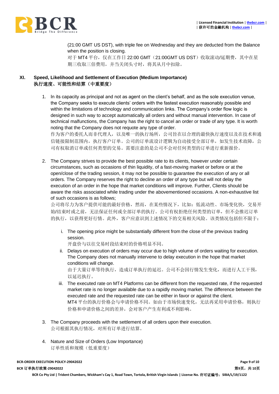

(21:00 GMT US DST), with triple fee on Wednesday and they are deducted from the Balance when the position is closing.

对于 MT4 平台, 仅在工作日 22:00 GMT (21:00GMT US DST) 收取滚动/延期费, 其中在星 期三收取三倍费用,并当关闭头寸时,将其从月中扣除。

# **XI. Speed, Likelihood and Settlement of Execution (Medium Importance)** 执行速度、可能性和结算(中重要度)

- 1. In its capacity as principal and not as agent on the client's behalf, and as the sole execution venue, the Company seeks to execute clients' orders with the fastest execution reasonably possible and within the limitations of technology and communication links. The Company's order flow logic is designed in such way to accept automatically all orders and without manual intervention. In case of technical malfunctions, the Company has the right to cancel an order or trade of any type. It is worth noting that the Company does not requote any type of order. 作为客户的委托人而非代理人,以及唯一的执行场所,公司旨在以合理的最快执行速度以及在技术和通 信链接限制范围内,执行客户订单。公司的订单流设计逻辑为自动接受全部订单,如发生技术故障,公 司有权取消订单或任何类型的交易。需要注意的是公司不会对任何类型的订单进行重新报价。
- 2. The Company strives to provide the best possible rate to its clients, however under certain circumstances, such as occasions of thin liquidity, of a fast-moving market or before or at the open/close of the trading session, it may not be possible to guarantee the execution of any or all orders. The Company reserves the right to decline an order of any type but will not delay the execution of an order in the hope that market conditions will improve. Further, Clients should be aware the risks associated while trading under the abovementioned occasions. A non-exhaustive list of such occasions is as follows;

公司将尽力为客户提供可能的最好价格,然而,在某些情况下,比如:低流动性、市场变化快,交易开 始/结束时或之前,无法保证任何或全部订单的执行。公司有权拒绝任何类型的订单,但不会推迟订单 的执行,以获得更好行情。此外,客户应意识到上述情况下的交易相关风险。该类情况包括但不限于:

i. The opening price might be substantially different from the close of the previous trading session.

开盘价与以往交易时段结束时的价格明显不同。

- ii. Delays on execution of orders may occur due to high volume of orders waiting for execution. The Company does not manually intervene to delay execution in the hope that market conditions will change. 由于大量订单等待执行,造成订单执行的延迟。公司不会因行情发生变化,而进行人工干预, 以延迟执行。
- iii. The executed rate on MT4 Platforms can be different from the requested rate, if the requested market rate is no longer available due to a rapidly moving market. The difference between the executed rate and the requested rate can be either in favor or against the client. MT4 平台的执行价格会与申请价格不同。如由于市场快速变化,无法再采用申请价格,则执行 价格和申请价格之间的差异,会对客户产生有利或不利影响。
- 3. The Company proceeds with the settlement of all orders upon their execution. 公司根据其执行情况,对所有订单进行结算。
- 4. Nature and Size of Orders (Low Importance) 订单性质和规模(低重要度)